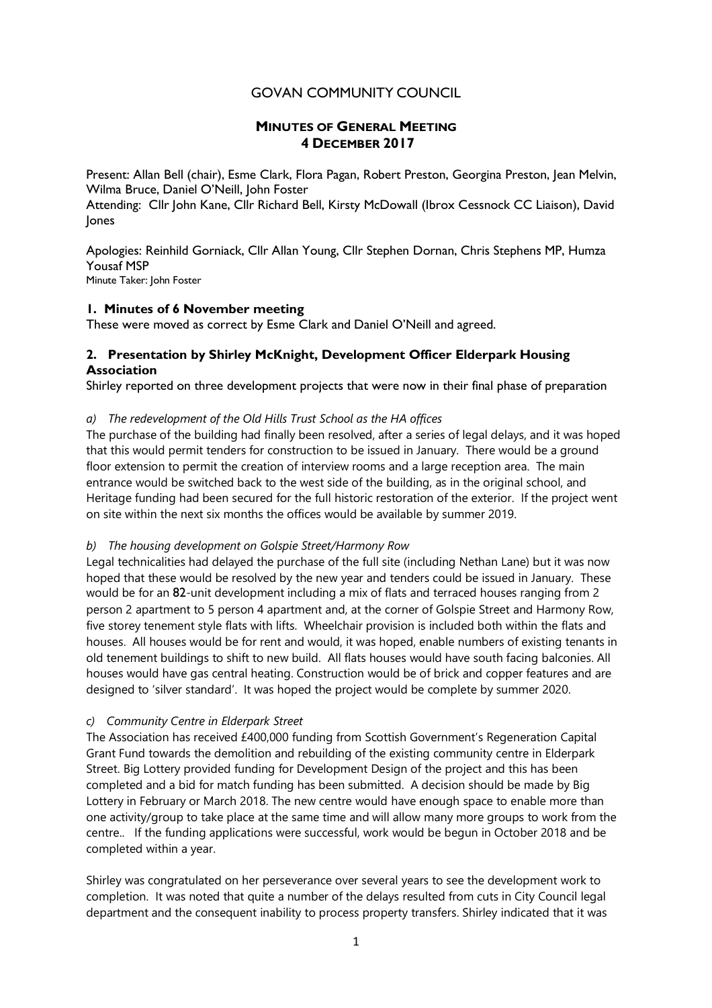## GOVAN COMMUNITY COUNCIL

## **MINUTES OF GENERAL MEETING 4 DECEMBER 2017**

Present: Allan Bell (chair), Esme Clark, Flora Pagan, Robert Preston, Georgina Preston, Jean Melvin, Wilma Bruce, Daniel O'Neill, John Foster

Attending: Cllr John Kane, Cllr Richard Bell, Kirsty McDowall (Ibrox Cessnock CC Liaison), David Jones

Apologies: Reinhild Gorniack, Cllr Allan Young, Cllr Stephen Dornan, Chris Stephens MP, Humza Yousaf MSP

Minute Taker: John Foster

## **1. Minutes of 6 November meeting**

These were moved as correct by Esme Clark and Daniel O'Neill and agreed.

## **2. Presentation by Shirley McKnight, Development Officer Elderpark Housing Association**

Shirley reported on three development projects that were now in their final phase of preparation

## *a) The redevelopment of the Old Hills Trust School as the HA offices*

The purchase of the building had finally been resolved, after a series of legal delays, and it was hoped that this would permit tenders for construction to be issued in January. There would be a ground floor extension to permit the creation of interview rooms and a large reception area. The main entrance would be switched back to the west side of the building, as in the original school, and Heritage funding had been secured for the full historic restoration of the exterior. If the project went on site within the next six months the offices would be available by summer 2019.

## *b) The housing development on Golspie Street/Harmony Row*

Legal technicalities had delayed the purchase of the full site (including Nethan Lane) but it was now hoped that these would be resolved by the new year and tenders could be issued in January. These would be for an 82-unit development including a mix of flats and terraced houses ranging from 2 person 2 apartment to 5 person 4 apartment and, at the corner of Golspie Street and Harmony Row, five storey tenement style flats with lifts. Wheelchair provision is included both within the flats and houses. All houses would be for rent and would, it was hoped, enable numbers of existing tenants in old tenement buildings to shift to new build. All flats houses would have south facing balconies. All houses would have gas central heating. Construction would be of brick and copper features and are designed to 'silver standard'. It was hoped the project would be complete by summer 2020.

## *c) Community Centre in Elderpark Street*

The Association has received £400,000 funding from Scottish Government's Regeneration Capital Grant Fund towards the demolition and rebuilding of the existing community centre in Elderpark Street. Big Lottery provided funding for Development Design of the project and this has been completed and a bid for match funding has been submitted. A decision should be made by Big Lottery in February or March 2018. The new centre would have enough space to enable more than one activity/group to take place at the same time and will allow many more groups to work from the centre.. If the funding applications were successful, work would be begun in October 2018 and be completed within a year.

Shirley was congratulated on her perseverance over several years to see the development work to completion. It was noted that quite a number of the delays resulted from cuts in City Council legal department and the consequent inability to process property transfers. Shirley indicated that it was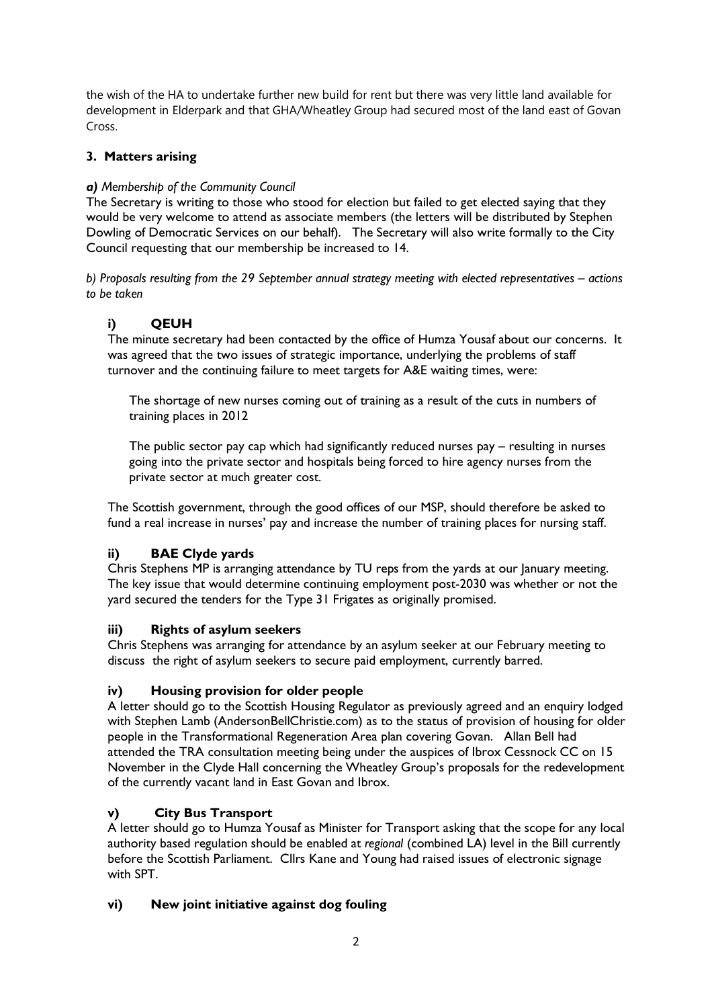the wish of the HA to undertake further new build for rent but there was very little land available for development in Elderpark and that GHA/Wheatley Group had secured most of the land east of Govan Cross.

## **3. Matters arising**

## *a) Membership of the Community Council*

The Secretary is writing to those who stood for election but failed to get elected saying that they would be very welcome to attend as associate members (the letters will be distributed by Stephen Dowling of Democratic Services on our behalf). The Secretary will also write formally to the City Council requesting that our membership be increased to 14.

*b) Proposals resulting from the 29 September annual strategy meeting with elected representatives – actions to be taken*

# **i) QEUH**

The minute secretary had been contacted by the office of Humza Yousaf about our concerns. It was agreed that the two issues of strategic importance, underlying the problems of staff turnover and the continuing failure to meet targets for A&E waiting times, were:

The shortage of new nurses coming out of training as a result of the cuts in numbers of training places in 2012

The public sector pay cap which had significantly reduced nurses pay – resulting in nurses going into the private sector and hospitals being forced to hire agency nurses from the private sector at much greater cost.

The Scottish government, through the good offices of our MSP, should therefore be asked to fund a real increase in nurses' pay and increase the number of training places for nursing staff.

## **ii) BAE Clyde yards**

Chris Stephens MP is arranging attendance by TU reps from the yards at our January meeting. The key issue that would determine continuing employment post-2030 was whether or not the yard secured the tenders for the Type 31 Frigates as originally promised.

## **iii) Rights of asylum seekers**

Chris Stephens was arranging for attendance by an asylum seeker at our February meeting to discuss the right of asylum seekers to secure paid employment, currently barred.

## **iv) Housing provision for older people**

A letter should go to the Scottish Housing Regulator as previously agreed and an enquiry lodged with Stephen Lamb (AndersonBellChristie.com) as to the status of provision of housing for older people in the Transformational Regeneration Area plan covering Govan. Allan Bell had attended the TRA consultation meeting being under the auspices of Ibrox Cessnock CC on 15 November in the Clyde Hall concerning the Wheatley Group's proposals for the redevelopment of the currently vacant land in East Govan and Ibrox.

## **v) City Bus Transport**

A letter should go to Humza Yousaf as Minister for Transport asking that the scope for any local authority based regulation should be enabled at *regional* (combined LA) level in the Bill currently before the Scottish Parliament. Cllrs Kane and Young had raised issues of electronic signage with SPT.

## **vi) New joint initiative against dog fouling**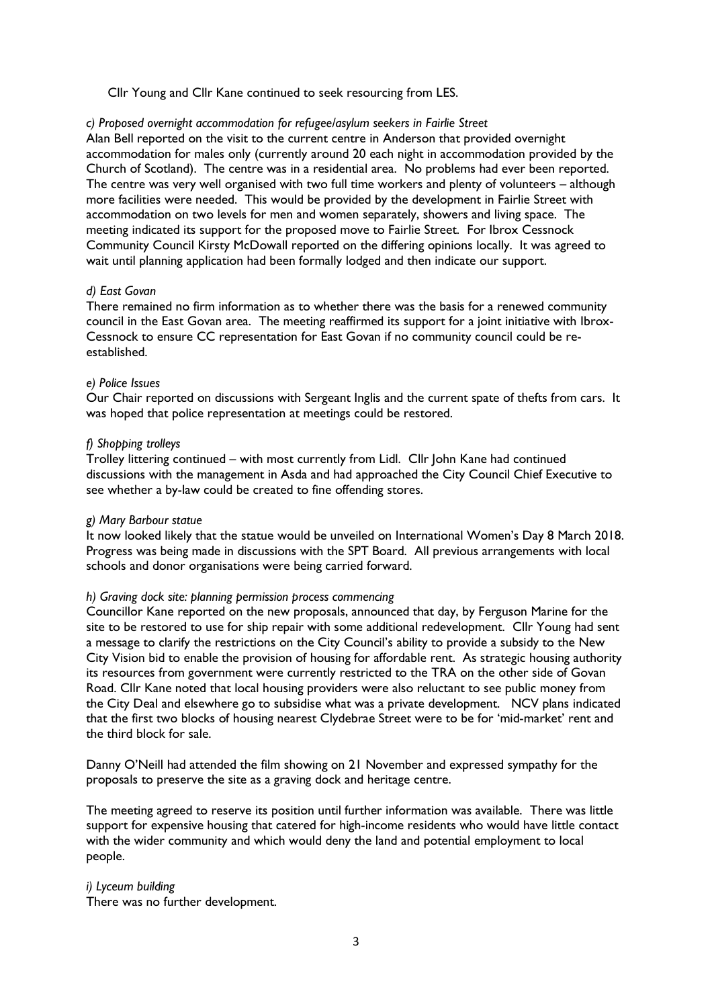Cllr Young and Cllr Kane continued to seek resourcing from LES.

#### *c) Proposed overnight accommodation for refugee/asylum seekers in Fairlie Street*

Alan Bell reported on the visit to the current centre in Anderson that provided overnight accommodation for males only (currently around 20 each night in accommodation provided by the Church of Scotland). The centre was in a residential area. No problems had ever been reported. The centre was very well organised with two full time workers and plenty of volunteers – although more facilities were needed. This would be provided by the development in Fairlie Street with accommodation on two levels for men and women separately, showers and living space. The meeting indicated its support for the proposed move to Fairlie Street. For Ibrox Cessnock Community Council Kirsty McDowall reported on the differing opinions locally. It was agreed to wait until planning application had been formally lodged and then indicate our support.

#### *d) East Govan*

There remained no firm information as to whether there was the basis for a renewed community council in the East Govan area. The meeting reaffirmed its support for a joint initiative with Ibrox-Cessnock to ensure CC representation for East Govan if no community council could be reestablished.

#### *e) Police Issues*

Our Chair reported on discussions with Sergeant Inglis and the current spate of thefts from cars. It was hoped that police representation at meetings could be restored.

#### *f) Shopping trolleys*

Trolley littering continued – with most currently from Lidl. Cllr John Kane had continued discussions with the management in Asda and had approached the City Council Chief Executive to see whether a by-law could be created to fine offending stores.

#### *g) Mary Barbour statue*

It now looked likely that the statue would be unveiled on International Women's Day 8 March 2018. Progress was being made in discussions with the SPT Board. All previous arrangements with local schools and donor organisations were being carried forward.

## *h) Graving dock site: planning permission process commencing*

Councillor Kane reported on the new proposals, announced that day, by Ferguson Marine for the site to be restored to use for ship repair with some additional redevelopment. Cllr Young had sent a message to clarify the restrictions on the City Council's ability to provide a subsidy to the New City Vision bid to enable the provision of housing for affordable rent. As strategic housing authority its resources from government were currently restricted to the TRA on the other side of Govan Road. Cllr Kane noted that local housing providers were also reluctant to see public money from the City Deal and elsewhere go to subsidise what was a private development. NCV plans indicated that the first two blocks of housing nearest Clydebrae Street were to be for 'mid-market' rent and the third block for sale.

Danny O'Neill had attended the film showing on 21 November and expressed sympathy for the proposals to preserve the site as a graving dock and heritage centre.

The meeting agreed to reserve its position until further information was available. There was little support for expensive housing that catered for high-income residents who would have little contact with the wider community and which would deny the land and potential employment to local people.

## *i) Lyceum building*

There was no further development.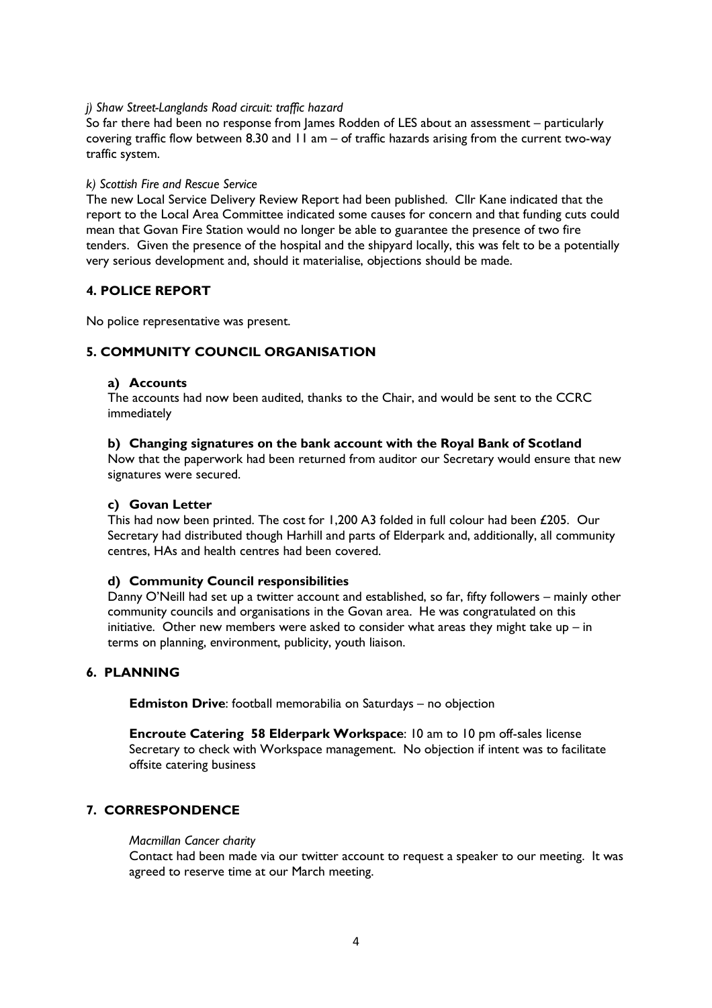## *j) Shaw Street-Langlands Road circuit: traffic hazard*

So far there had been no response from James Rodden of LES about an assessment – particularly covering traffic flow between 8.30 and 11 am – of traffic hazards arising from the current two-way traffic system.

#### *k) Scottish Fire and Rescue Service*

The new Local Service Delivery Review Report had been published. Cllr Kane indicated that the report to the Local Area Committee indicated some causes for concern and that funding cuts could mean that Govan Fire Station would no longer be able to guarantee the presence of two fire tenders. Given the presence of the hospital and the shipyard locally, this was felt to be a potentially very serious development and, should it materialise, objections should be made.

#### **4. POLICE REPORT**

No police representative was present.

## **5. COMMUNITY COUNCIL ORGANISATION**

#### **a) Accounts**

The accounts had now been audited, thanks to the Chair, and would be sent to the CCRC immediately

#### **b) Changing signatures on the bank account with the Royal Bank of Scotland**

Now that the paperwork had been returned from auditor our Secretary would ensure that new signatures were secured.

## **c) Govan Letter**

This had now been printed. The cost for 1,200 A3 folded in full colour had been £205. Our Secretary had distributed though Harhill and parts of Elderpark and, additionally, all community centres, HAs and health centres had been covered.

#### **d) Community Council responsibilities**

Danny O'Neill had set up a twitter account and established, so far, fifty followers – mainly other community councils and organisations in the Govan area. He was congratulated on this initiative. Other new members were asked to consider what areas they might take up  $-$  in terms on planning, environment, publicity, youth liaison.

## **6. PLANNING**

**Edmiston Drive**: football memorabilia on Saturdays – no objection

**Encroute Catering 58 Elderpark Workspace**: 10 am to 10 pm off-sales license Secretary to check with Workspace management. No objection if intent was to facilitate offsite catering business

## **7. CORRESPONDENCE**

#### *Macmillan Cancer charity*

Contact had been made via our twitter account to request a speaker to our meeting. It was agreed to reserve time at our March meeting.